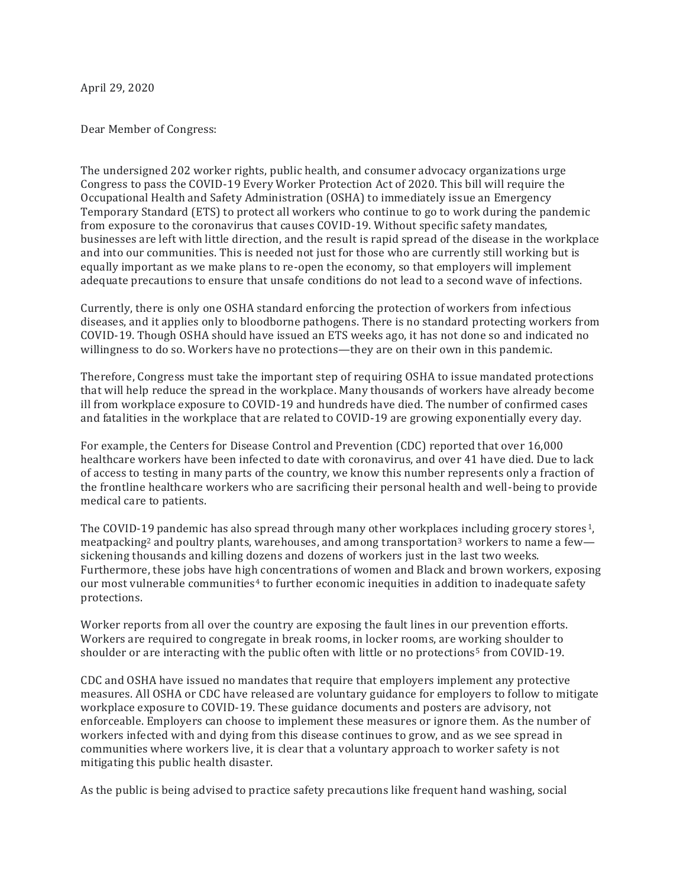April 29, 2020

Dear Member of Congress:

The undersigned 202 worker rights, public health, and consumer advocacy organizations urge Congress to pass the COVID-19 Every Worker Protection Act of 2020. This bill will require the Occupational Health and Safety Administration (OSHA) to immediately issue an Emergency Temporary Standard (ETS) to protect all workers who continue to go to work during the pandemic from exposure to the coronavirus that causes COVID-19. Without specific safety mandates, businesses are left with little direction, and the result is rapid spread of the disease in the workplace and into our communities. This is needed not just for those who are currently still working but is equally important as we make plans to re-open the economy, so that employers will implement adequate precautions to ensure that unsafe conditions do not lead to a second wave of infections.

Currently, there is only one OSHA standard enforcing the protection of workers from infectious diseases, and it applies only to bloodborne pathogens. There is no standard protecting workers from COVID-19. Though OSHA should have issued an ETS weeks ago, it has not done so and indicated no willingness to do so. Workers have no protections—they are on their own in this pandemic.

Therefore, Congress must take the important step of requiring OSHA to issue mandated protections that will help reduce the spread in the workplace. Many thousands of workers have already become ill from workplace exposure to COVID-19 and hundreds have died. The number of confirmed cases and fatalities in the workplace that are related to COVID-19 are growing exponentially every day.

For example, the Centers for Disease Control and Prevention (CDC) reported that over 16,000 healthcare workers have been infected to date with coronavirus, and over 41 have died. Due to lack of access to testing in many parts of the country, we know this number represents only a fraction of the frontline healthcare workers who are sacrificing their personal health and well-being to provide medical care to patients.

The COVID-19 pandemic has also spread through many other workplaces including grocery stores<sup>1</sup>. meatpacking<sup>2</sup> and poultry plants, warehouses, and among transportation<sup>3</sup> workers to name a few sickening thousands and killing dozens and dozens of workers just in the last two weeks. Furthermore, these jobs have high concentrations of women and Black and brown workers, exposing our most vulnerable communities<sup>4</sup> to further economic inequities in addition to inadequate safety protections.

Worker reports from all over the country are exposing the fault lines in our prevention efforts. Workers are required to congregate in break rooms, in locker rooms, are working shoulder to shoulder or are interacting with the public often with little or no protections<sup>5</sup> from COVID-19.

CDC and OSHA have issued no mandates that require that employers implement any protective measures. All OSHA or CDC have released are voluntary guidance for employers to follow to mitigate workplace exposure to COVID-19. These guidance documents and posters are advisory, not enforceable. Employers can choose to implement these measures or ignore them. As the number of workers infected with and dying from this disease continues to grow, and as we see spread in communities where workers live, it is clear that a voluntary approach to worker safety is not mitigating this public health disaster.

As the public is being advised to practice safety precautions like frequent hand washing, social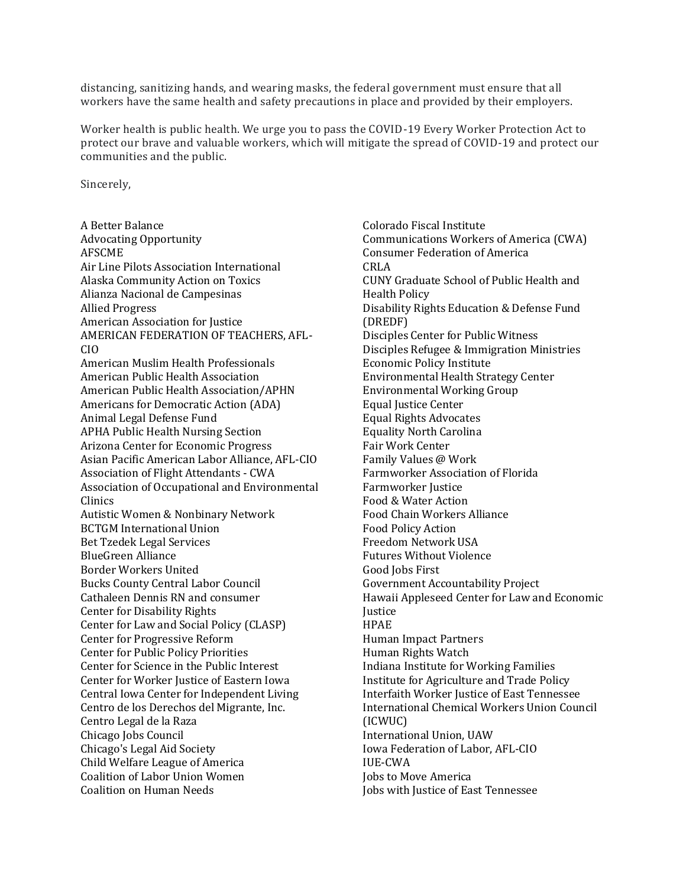distancing, sanitizing hands, and wearing masks, the federal government must ensure that all workers have the same health and safety precautions in place and provided by their employers.

Worker health is public health. We urge you to pass the COVID-19 Every Worker Protection Act to protect our brave and valuable workers, which will mitigate the spread of COVID-19 and protect our communities and the public.

Sincerely,

A Better Balance Advocating Opportunity AFSCME Air Line Pilots Association International Alaska Community Action on Toxics Alianza Nacional de Campesinas Allied Progress American Association for Justice AMERICAN FEDERATION OF TEACHERS, AFL-CIO American Muslim Health Professionals American Public Health Association American Public Health Association/APHN Americans for Democratic Action (ADA) Animal Legal Defense Fund APHA Public Health Nursing Section Arizona Center for Economic Progress Asian Pacific American Labor Alliance, AFL-CIO Association of Flight Attendants - CWA Association of Occupational and Environmental Clinics Autistic Women & Nonbinary Network BCTGM International Union Bet Tzedek Legal Services BlueGreen Alliance Border Workers United Bucks County Central Labor Council Cathaleen Dennis RN and consumer Center for Disability Rights Center for Law and Social Policy (CLASP) Center for Progressive Reform Center for Public Policy Priorities Center for Science in the Public Interest Center for Worker Justice of Eastern Iowa Central Iowa Center for Independent Living Centro de los Derechos del Migrante, Inc. Centro Legal de la Raza Chicago Jobs Council Chicago's Legal Aid Society Child Welfare League of America Coalition of Labor Union Women Coalition on Human Needs

Colorado Fiscal Institute Communications Workers of America (CWA) Consumer Federation of America CRLA CUNY Graduate School of Public Health and Health Policy Disability Rights Education & Defense Fund (DREDF) Disciples Center for Public Witness Disciples Refugee & Immigration Ministries Economic Policy Institute Environmental Health Strategy Center Environmental Working Group Equal Justice Center Equal Rights Advocates Equality North Carolina Fair Work Center Family Values @ Work Farmworker Association of Florida Farmworker Justice Food & Water Action Food Chain Workers Alliance Food Policy Action Freedom Network USA Futures Without Violence Good Jobs First Government Accountability Project Hawaii Appleseed Center for Law and Economic **Iustice** HPAE Human Impact Partners Human Rights Watch Indiana Institute for Working Families Institute for Agriculture and Trade Policy Interfaith Worker Justice of East Tennessee International Chemical Workers Union Council (ICWUC) International Union, UAW Iowa Federation of Labor, AFL-CIO IUE-CWA Jobs to Move America Jobs with Justice of East Tennessee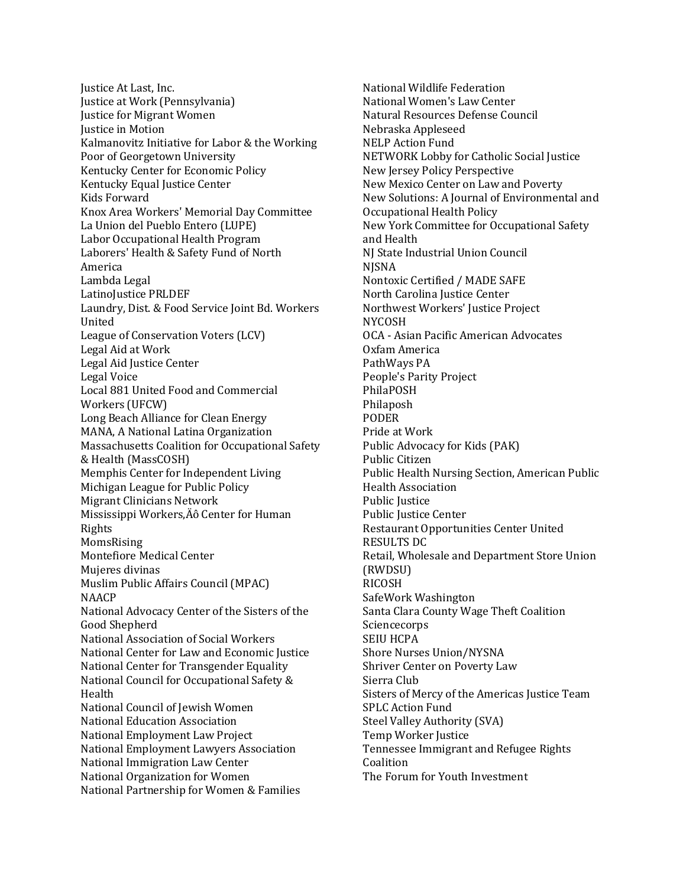Justice At Last, Inc. Justice at Work (Pennsylvania) Justice for Migrant Women Justice in Motion Kalmanovitz Initiative for Labor & the Working Poor of Georgetown University Kentucky Center for Economic Policy Kentucky Equal Justice Center Kids Forward Knox Area Workers' Memorial Day Committee La Union del Pueblo Entero (LUPE) Labor Occupational Health Program Laborers' Health & Safety Fund of North America Lambda Legal LatinoJustice PRLDEF Laundry, Dist. & Food Service Joint Bd. Workers United League of Conservation Voters (LCV) Legal Aid at Work Legal Aid Justice Center Legal Voice Local 881 United Food and Commercial Workers (UFCW) Long Beach Alliance for Clean Energy MANA, A National Latina Organization Massachusetts Coalition for Occupational Safety & Health (MassCOSH) Memphis Center for Independent Living Michigan League for Public Policy Migrant Clinicians Network Mississippi Workers, Äô Center for Human Rights MomsRising Montefiore Medical Center Mujeres divinas Muslim Public Affairs Council (MPAC) NAACP National Advocacy Center of the Sisters of the Good Shepherd National Association of Social Workers National Center for Law and Economic Justice National Center for Transgender Equality National Council for Occupational Safety & Health National Council of Jewish Women National Education Association National Employment Law Project National Employment Lawyers Association National Immigration Law Center National Organization for Women National Partnership for Women & Families

National Wildlife Federation National Women's Law Center Natural Resources Defense Council Nebraska Appleseed NELP Action Fund NETWORK Lobby for Catholic Social Justice New Jersey Policy Perspective New Mexico Center on Law and Poverty New Solutions: A Journal of Environmental and Occupational Health Policy New York Committee for Occupational Safety and Health NJ State Industrial Union Council NJSNA Nontoxic Certified / MADE SAFE North Carolina Justice Center Northwest Workers' Justice Project NYCOSH OCA - Asian Pacific American Advocates Oxfam America PathWays PA People's Parity Project PhilaPOSH Philaposh PODER Pride at Work Public Advocacy for Kids (PAK) Public Citizen Public Health Nursing Section, American Public Health Association Public Justice Public Justice Center Restaurant Opportunities Center United RESULTS DC Retail, Wholesale and Department Store Union (RWDSU) RICOSH SafeWork Washington Santa Clara County Wage Theft Coalition Sciencecorps SEIU HCPA Shore Nurses Union/NYSNA Shriver Center on Poverty Law Sierra Club Sisters of Mercy of the Americas Justice Team SPLC Action Fund Steel Valley Authority (SVA) Temp Worker Justice Tennessee Immigrant and Refugee Rights Coalition The Forum for Youth Investment